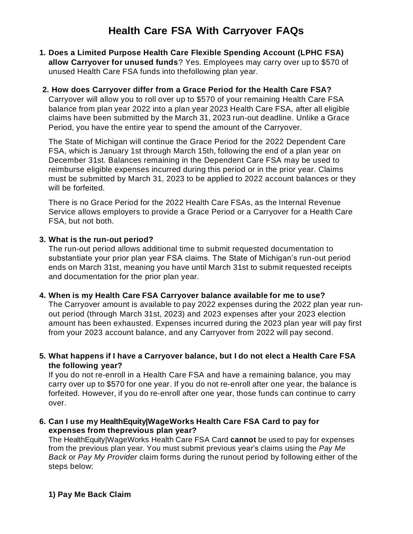# **Health Care FSA With Carryover FAQs**

- **1. Does a Limited Purpose Health Care Flexible Spending Account (LPHC FSA) allow Carryover for unused funds**? Yes. Employees may carry over up to \$570 of unused Health Care FSA funds into thefollowing plan year.
- **2. How does Carryover differ from a Grace Period for the Health Care FSA?**

Carryover will allow you to roll over up to \$570 of your remaining Health Care FSA balance from plan year 2022 into a plan year 2023 Health Care FSA, after all eligible claims have been submitted by the March 31, 2023 run-out deadline. Unlike a Grace Period, you have the entire year to spend the amount of the Carryover.

The State of Michigan will continue the Grace Period for the 2022 Dependent Care FSA, which is January 1st through March 15th, following the end of a plan year on December 31st. Balances remaining in the Dependent Care FSA may be used to reimburse eligible expenses incurred during this period or in the prior year. Claims must be submitted by March 31, 2023 to be applied to 2022 account balances or they will be forfeited.

There is no Grace Period for the 2022 Health Care FSAs, as the Internal Revenue Service allows employers to provide a Grace Period or a Carryover for a Health Care FSA, but not both.

#### **3. What is the run-out period?**

The run-out period allows additional time to submit requested documentation to substantiate your prior plan year FSA claims. The State of Michigan's run-out period ends on March 31st, meaning you have until March 31st to submit requested receipts and documentation for the prior plan year.

#### **4. When is my Health Care FSA Carryover balance available for me to use?**

The Carryover amount is available to pay 2022 expenses during the 2022 plan year runout period (through March 31st, 2023) and 2023 expenses after your 2023 election amount has been exhausted. Expenses incurred during the 2023 plan year will pay first from your 2023 account balance, and any Carryover from 2022 will pay second.

**5. What happens if I have a Carryover balance, but I do not elect a Health Care FSA the following year?**

If you do not re-enroll in a Health Care FSA and have a remaining balance, you may carry over up to \$570 for one year. If you do not re-enroll after one year, the balance is forfeited. However, if you do re-enroll after one year, those funds can continue to carry over.

### **6. Can I use my HealthEquity|WageWorks Health Care FSA Card to pay for expenses from theprevious plan year?**

The HealthEquity|WageWorks Health Care FSA Card **cannot** be used to pay for expenses from the previous plan year. You must submit previous year's claims using the *Pay Me Back* or *Pay My Provider* claim forms during the runout period by following either of the steps below: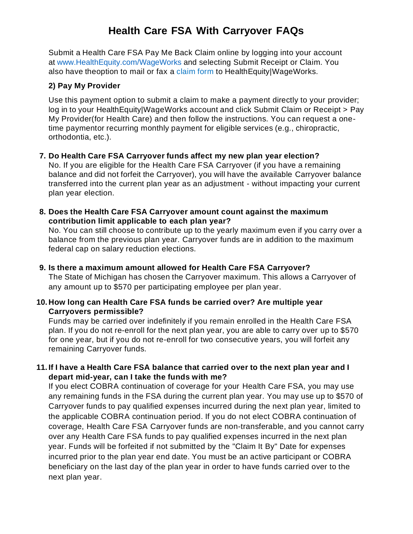# **Health Care FSA With Carryover FAQs**

Submit a Health Care FSA Pay Me Back Claim online by logging into your account at [www.HealthEquity.com/WageWorks](http://www.healthequity.com/WageWorks) and selecting Submit Receipt or Claim. You also have theoption to mail or fax a [claim](https://www.wageworks.com/media/838802/3790-hcfsa-pmb-frm-202103.pdf) form to HealthEquity|WageWorks.

### **2) Pay My Provider**

Use this payment option to submit a claim to make a payment directly to your provider; log in to your HealthEquity|WageWorks account and click Submit Claim or Receipt > Pay My Provider(for Health Care) and then follow the instructions. You can request a onetime paymentor recurring monthly payment for eligible services (e.g., chiropractic, orthodontia, etc.).

## **7. Do Health Care FSA Carryover funds affect my new plan year election?**

No. If you are eligible for the Health Care FSA Carryover (if you have a remaining balance and did not forfeit the Carryover), you will have the available Carryover balance transferred into the current plan year as an adjustment - without impacting your current plan year election.

**8. Does the Health Care FSA Carryover amount count against the maximum contribution limit applicable to each plan year?**

No. You can still choose to contribute up to the yearly maximum even if you carry over a balance from the previous plan year. Carryover funds are in addition to the maximum federal cap on salary reduction elections.

**9. Is there a maximum amount allowed for Health Care FSA Carryover?** The State of Michigan has chosen the Carryover maximum. This allows a Carryover of any amount up to \$570 per participating employee per plan year.

### **10. How long can Health Care FSA funds be carried over? Are multiple year Carryovers permissible?**

Funds may be carried over indefinitely if you remain enrolled in the Health Care FSA plan. If you do not re-enroll for the next plan year, you are able to carry over up to \$570 for one year, but if you do not re-enroll for two consecutive years, you will forfeit any remaining Carryover funds.

### **11. If I have a Health Care FSA balance that carried over to the next plan year and I depart mid-year, can I take the funds with me?**

If you elect COBRA continuation of coverage for your Health Care FSA, you may use any remaining funds in the FSA during the current plan year. You may use up to \$570 of Carryover funds to pay qualified expenses incurred during the next plan year, limited to the applicable COBRA continuation period. If you do not elect COBRA continuation of coverage, Health Care FSA Carryover funds are non-transferable, and you cannot carry over any Health Care FSA funds to pay qualified expenses incurred in the next plan year. Funds will be forfeited if not submitted by the "Claim It By" Date for expenses incurred prior to the plan year end date. You must be an active participant or COBRA beneficiary on the last day of the plan year in order to have funds carried over to the next plan year.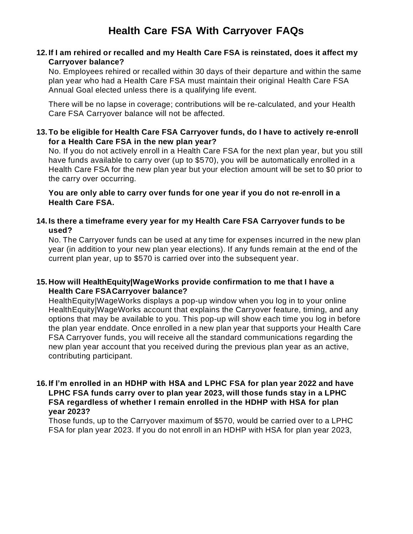### **12. If I am rehired or recalled and my Health Care FSA is reinstated, does it affect my Carryover balance?**

No. Employees rehired or recalled within 30 days of their departure and within the same plan year who had a Health Care FSA must maintain their original Health Care FSA Annual Goal elected unless there is a qualifying life event.

There will be no lapse in coverage; contributions will be re-calculated, and your Health Care FSA Carryover balance will not be affected.

**13. To be eligible for Health Care FSA Carryover funds, do I have to actively re-enroll for a Health Care FSA in the new plan year?**

No. If you do not actively enroll in a Health Care FSA for the next plan year, but you still have funds available to carry over (up to \$570), you will be automatically enrolled in a Health Care FSA for the new plan year but your election amount will be set to \$0 prior to the carry over occurring.

**You are only able to carry over funds for one year if you do not re-enroll in a Health Care FSA.**

**14. Is there a timeframe every year for my Health Care FSA Carryover funds to be used?**

No. The Carryover funds can be used at any time for expenses incurred in the new plan year (in addition to your new plan year elections). If any funds remain at the end of the current plan year, up to \$570 is carried over into the subsequent year.

## **15. How will HealthEquity|WageWorks provide confirmation to me that I have a Health Care FSACarryover balance?**

HealthEquity|WageWorks displays a pop-up window when you log in to your online HealthEquity|WageWorks account that explains the Carryover feature, timing, and any options that may be available to you. This pop-up will show each time you log in before the plan year enddate. Once enrolled in a new plan year that supports your Health Care FSA Carryover funds, you will receive all the standard communications regarding the new plan year account that you received during the previous plan year as an active, contributing participant.

#### **16. If I'm enrolled in an HDHP with HSA and LPHC FSA for plan year 2022 and have LPHC FSA funds carry over to plan year 2023, will those funds stay in a LPHC FSA regardless of whether I remain enrolled in the HDHP with HSA for plan year 2023?**

Those funds, up to the Carryover maximum of \$570, would be carried over to a LPHC FSA for plan year 2023. If you do not enroll in an HDHP with HSA for plan year 2023,